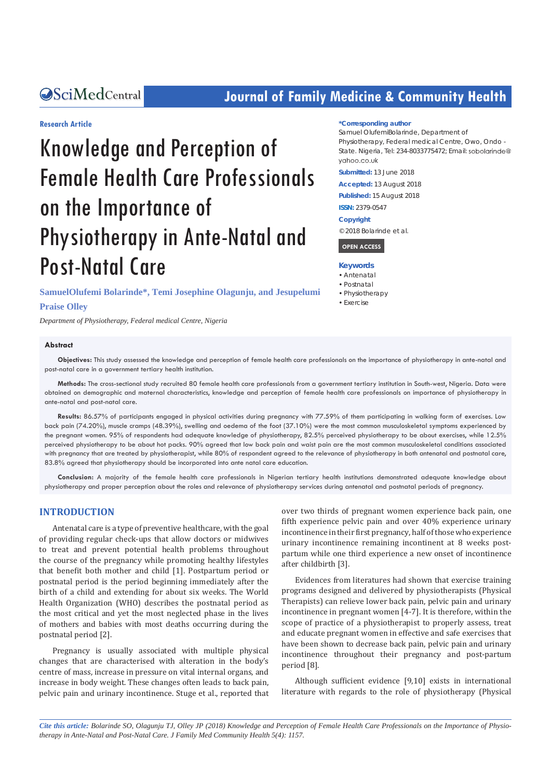## **CALCERT CONFIDENTIAL CONTROLLER COMMUNITY Health**

#### **Research Article**

# Knowledge and Perception of Female Health Care Professionals on the Importance of Physiotherapy in Ante-Natal and Post-Natal Care

**SamuelOlufemi Bolarinde\*, Temi Josephine Olagunju, and Jesupelumi Praise Olley**

*Department of Physiotherapy, Federal medical Centre, Nigeria*

#### **Abstract**

#### **\*Corresponding author**

Samuel OlufemiBolarinde, Department of Physiotherapy, Federal medical Centre, Owo, Ondo - State. Nigeria, Tel: 234-8033775472; Email: sobolgrinde@ vahoo co uk

**Submitted:** 13 June 2018

**Accepted:** 13 August 2018

**Published:** 15 August 2018

**ISSN:** 2379-0547

**Copyright**

© 2018 Bolarinde et al.

 **OPEN ACCESS** 

#### **Keywords**

- • Antenatal
- • Postnatal
- • Physiotherapy
- • Exercise

**Objectives:** This study assessed the knowledge and perception of female health care professionals on the importance of physiotherapy in ante-natal and post-natal care in a government tertiary health institution.

**Methods:** The cross-sectional study recruited 80 female health care professionals from a government tertiary institution in South-west, Nigeria. Data were obtained on demographic and maternal characteristics, knowledge and perception of female health care professionals on importance of physiotherapy in ante-natal and post-natal care.

**Results:** 86.57% of participants engaged in physical activities during pregnancy with 77.59% of them participating in walking form of exercises. Low back pain (74.20%), muscle cramps (48.39%), swelling and oedema of the foot (37.10%) were the most common musculoskeletal symptoms experienced by the pregnant women. 95% of respondents had adequate knowledge of physiotherapy, 82.5% perceived physiotherapy to be about exercises, while 12.5% perceived physiotherapy to be about hot packs. 90% agreed that low back pain and waist pain are the most common musculoskeletal conditions associated with pregnancy that are treated by physiotherapist, while 80% of respondent agreed to the relevance of physiotherapy in both antenatal and postnatal care, 83.8% agreed that physiotherapy should be incorporated into ante natal care education.

**Conclusion:** A majority of the female health care professionals in Nigerian tertiary health institutions demonstrated adequate knowledge about physiotherapy and proper perception about the roles and relevance of physiotherapy services during antenatal and postnatal periods of pregnancy.

#### **INTRODUCTION**

Antenatal care is a type of preventive healthcare, with the goal of providing regular check-ups that allow doctors or midwives to treat and prevent potential health problems throughout the course of the pregnancy while promoting healthy lifestyles that benefit both mother and child [1]. Postpartum period or postnatal period is the period beginning immediately after the birth of a child and extending for about six weeks. The World Health Organization (WHO) describes the postnatal period as the most critical and yet the most neglected phase in the lives of mothers and babies with most deaths occurring during the postnatal period [2].

Pregnancy is usually associated with multiple physical changes that are characterised with alteration in the body's centre of mass, increase in pressure on vital internal organs, and increase in body weight. These changes often leads to back pain, pelvic pain and urinary incontinence. Stuge et al., reported that over two thirds of pregnant women experience back pain, one fifth experience pelvic pain and over 40% experience urinary incontinence in their first pregnancy, half of those who experience urinary incontinence remaining incontinent at 8 weeks postpartum while one third experience a new onset of incontinence after childbirth [3].

Evidences from literatures had shown that exercise training programs designed and delivered by physiotherapists (Physical Therapists) can relieve lower back pain, pelvic pain and urinary incontinence in pregnant women [4-7]. It is therefore, within the scope of practice of a physiotherapist to properly assess, treat and educate pregnant women in effective and safe exercises that have been shown to decrease back pain, pelvic pain and urinary incontinence throughout their pregnancy and post-partum period [8].

Although sufficient evidence [9,10] exists in international literature with regards to the role of physiotherapy (Physical

*Cite this article: Bolarinde SO, Olagunju TJ, Olley JP (2018) Knowledge and Perception of Female Health Care Professionals on the Importance of Physiotherapy in Ante-Natal and Post-Natal Care. J Family Med Community Health 5(4): 1157.*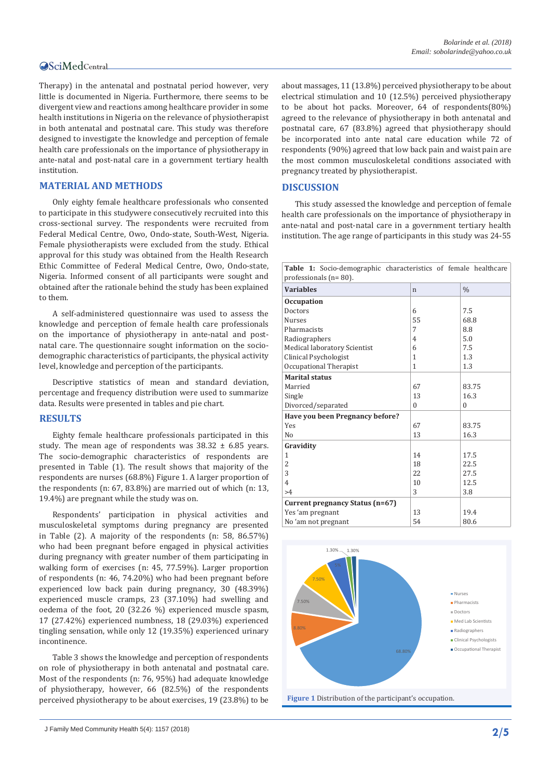#### **OSciMedCentral**

Therapy) in the antenatal and postnatal period however, very little is documented in Nigeria. Furthermore, there seems to be divergent view and reactions among healthcare provider in some health institutions in Nigeria on the relevance of physiotherapist in both antenatal and postnatal care. This study was therefore designed to investigate the knowledge and perception of female health care professionals on the importance of physiotherapy in ante-natal and post-natal care in a government tertiary health institution.

#### **MATERIAL AND METHODS**

Only eighty female healthcare professionals who consented to participate in this studywere consecutively recruited into this cross-sectional survey. The respondents were recruited from Federal Medical Centre, Owo, Ondo-state, South-West, Nigeria. Female physiotherapists were excluded from the study. Ethical approval for this study was obtained from the Health Research Ethic Committee of Federal Medical Centre, Owo, Ondo-state, Nigeria. Informed consent of all participants were sought and obtained after the rationale behind the study has been explained to them.

A self-administered questionnaire was used to assess the knowledge and perception of female health care professionals on the importance of physiotherapy in ante-natal and postnatal care. The questionnaire sought information on the sociodemographic characteristics of participants, the physical activity level, knowledge and perception of the participants.

Descriptive statistics of mean and standard deviation, percentage and frequency distribution were used to summarize data. Results were presented in tables and pie chart.

#### **RESULTS**

Eighty female healthcare professionals participated in this study. The mean age of respondents was  $38.32 \pm 6.85$  years. The socio-demographic characteristics of respondents are presented in Table (1). The result shows that majority of the respondents are nurses (68.8%) Figure 1. A larger proportion of the respondents (n: 67, 83.8%) are married out of which (n: 13, 19.4%) are pregnant while the study was on.

Respondents' participation in physical activities and musculoskeletal symptoms during pregnancy are presented in Table (2). A majority of the respondents (n: 58, 86.57%) who had been pregnant before engaged in physical activities during pregnancy with greater number of them participating in walking form of exercises (n: 45, 77.59%). Larger proportion of respondents (n: 46, 74.20%) who had been pregnant before experienced low back pain during pregnancy, 30 (48.39%) experienced muscle cramps, 23 (37.10%) had swelling and oedema of the foot, 20 (32.26 %) experienced muscle spasm, 17 (27.42%) experienced numbness, 18 (29.03%) experienced tingling sensation, while only 12 (19.35%) experienced urinary incontinence.

Table 3 shows the knowledge and perception of respondents on role of physiotherapy in both antenatal and postnatal care. Most of the respondents (n: 76, 95%) had adequate knowledge of physiotherapy, however, 66 (82.5%) of the respondents perceived physiotherapy to be about exercises, 19 (23.8%) to be

J Family Med Community Health 5(4): 1157 (2018) **2/5**

about massages, 11 (13.8%) perceived physiotherapy to be about electrical stimulation and 10 (12.5%) perceived physiotherapy to be about hot packs. Moreover, 64 of respondents(80%) agreed to the relevance of physiotherapy in both antenatal and postnatal care, 67 (83.8%) agreed that physiotherapy should be incorporated into ante natal care education while 72 of respondents (90%) agreed that low back pain and waist pain are the most common musculoskeletal conditions associated with pregnancy treated by physiotherapist.

#### **DISCUSSION**

This study assessed the knowledge and perception of female health care professionals on the importance of physiotherapy in ante-natal and post-natal care in a government tertiary health institution. The age range of participants in this study was 24-55

| Table 1: Socio-demographic characteristics of female healthcare<br>professionals ( $n = 80$ ). |                |               |  |  |
|------------------------------------------------------------------------------------------------|----------------|---------------|--|--|
| <b>Variables</b>                                                                               | $\mathsf{n}$   | $\frac{0}{0}$ |  |  |
| <b>Occupation</b>                                                                              |                |               |  |  |
| Doctors                                                                                        | 6              | 7.5           |  |  |
| <b>Nurses</b>                                                                                  | 55             | 68.8          |  |  |
| Pharmacists                                                                                    | 7              | 8.8           |  |  |
| Radiographers                                                                                  | $\overline{4}$ | 5.0           |  |  |
| Medical laboratory Scientist                                                                   | 6              | 7.5           |  |  |
| Clinical Psychologist                                                                          | $\mathbf{1}$   | 1.3           |  |  |
| Occupational Therapist                                                                         | 1              | 1.3           |  |  |
| <b>Marital status</b>                                                                          |                |               |  |  |
| Married                                                                                        | 67             | 83.75         |  |  |
| Single                                                                                         | 13             | 16.3          |  |  |
| Divorced/separated                                                                             | $\Omega$       | 0             |  |  |
| Have you been Pregnancy before?                                                                |                |               |  |  |
| Yes                                                                                            | 67             | 83.75         |  |  |
| No                                                                                             | 13             | 16.3          |  |  |
| Gravidity                                                                                      |                |               |  |  |
| 1                                                                                              | 14             | 17.5          |  |  |
| 2                                                                                              | 18             | 22.5          |  |  |
| 3                                                                                              | 22             | 27.5          |  |  |
| $\overline{4}$                                                                                 | 10             | 12.5          |  |  |
| >4                                                                                             | 3              | 3.8           |  |  |
| Current pregnancy Status (n=67)                                                                |                |               |  |  |
| Yes 'am pregnant                                                                               | 13             | 19.4          |  |  |
| No 'am not pregnant                                                                            | 54             | 80.6          |  |  |

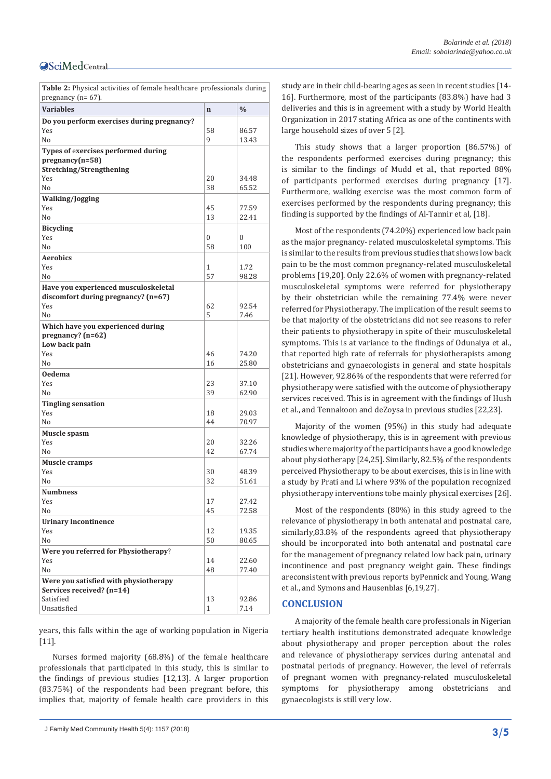#### **OSciMedCentral**

**Table 2:** Physical activities of female healthcare professionals during pregnancy  $(n=67)$ .

| <b>Variables</b>                           | $\mathbf n$  | $\%$           |
|--------------------------------------------|--------------|----------------|
| Do you perform exercises during pregnancy? |              |                |
| Yes                                        | 58           | 86.57          |
| N <sub>0</sub>                             | 9            | 13.43          |
| Types of exercises performed during        |              |                |
| $pregnancy(n=58)$                          |              |                |
| Stretching/Strengthening                   |              |                |
| Yes                                        | 20           | 34.48          |
| N <sub>o</sub>                             | 38           | 65.52          |
| <b>Walking/Jogging</b>                     |              |                |
| Yes<br>N <sub>o</sub>                      | 45<br>13     | 77.59<br>22.41 |
|                                            |              |                |
| <b>Bicycling</b><br>Yes                    | 0            | 0              |
| No                                         | 58           | 100            |
| <b>Aerobics</b>                            |              |                |
| Yes                                        | 1            | 1.72           |
| N <sub>o</sub>                             | 57           | 98.28          |
| Have you experienced musculoskeletal       |              |                |
| discomfort during pregnancy? (n=67)        |              |                |
| Yes                                        | 62           | 92.54          |
| N <sub>0</sub>                             | 5            | 7.46           |
| Which have you experienced during          |              |                |
| pregnancy? (n=62)                          |              |                |
| Low back pain                              |              |                |
| Yes                                        | 46           | 74.20          |
| No                                         | 16           | 25.80          |
| <b>Oedema</b>                              |              |                |
| Yes<br>No                                  | 23<br>39     | 37.10<br>62.90 |
|                                            |              |                |
| <b>Tingling sensation</b><br>Yes           | 18           | 29.03          |
| N <sub>o</sub>                             | 44           | 70.97          |
| Muscle spasm                               |              |                |
| Yes                                        | 20           | 32.26          |
| No                                         | 42           | 67.74          |
| Muscle cramps                              |              |                |
| Yes                                        | 30           | 48.39          |
| N <sub>0</sub>                             | 32           | 51.61          |
| <b>Numbness</b>                            |              |                |
| Yes                                        | 17           | 27.42          |
| No                                         | 45           | 72.58          |
| <b>Urinary Incontinence</b>                |              |                |
| Yes                                        | 12           | 19.35          |
| No                                         | 50           | 80.65          |
| Were you referred for Physiotherapy?       |              |                |
| Yes                                        | 14           | 22.60          |
| N <sub>o</sub>                             | 48           | 77.40          |
| Were you satisfied with physiotherapy      |              |                |
| Services received? (n=14)<br>Satisfied     | 13           | 92.86          |
| Unsatisfied                                | $\mathbf{1}$ | 7.14           |
|                                            |              |                |

years, this falls within the age of working population in Nigeria [11].

Nurses formed majority (68.8%) of the female healthcare professionals that participated in this study, this is similar to the findings of previous studies [12,13]. A larger proportion (83.75%) of the respondents had been pregnant before, this implies that, majority of female health care providers in this

J Family Med Community Health 5(4): 1157 (2018) **3/5**

study are in their child-bearing ages as seen in recent studies [14- 16]. Furthermore, most of the participants (83.8%) have had 3 deliveries and this is in agreement with a study by World Health Organization in 2017 stating Africa as one of the continents with large household sizes of over 5 [2].

This study shows that a larger proportion (86.57%) of the respondents performed exercises during pregnancy; this is similar to the findings of Mudd et al., that reported 88% of participants performed exercises during pregnancy [17]. Furthermore, walking exercise was the most common form of exercises performed by the respondents during pregnancy; this finding is supported by the findings of Al-Tannir et al, [18].

Most of the respondents (74.20%) experienced low back pain as the major pregnancy- related musculoskeletal symptoms. This is similar to the results from previous studies that shows low back pain to be the most common pregnancy-related musculoskeletal problems [19,20]. Only 22.6% of women with pregnancy-related musculoskeletal symptoms were referred for physiotherapy by their obstetrician while the remaining 77.4% were never referred for Physiotherapy. The implication of the result seems to be that majority of the obstetricians did not see reasons to refer their patients to physiotherapy in spite of their musculoskeletal symptoms. This is at variance to the findings of Odunaiya et al., that reported high rate of referrals for physiotherapists among obstetricians and gynaecologists in general and state hospitals [21]. However, 92.86% of the respondents that were referred for physiotherapy were satisfied with the outcome of physiotherapy services received. This is in agreement with the findings of Hush et al., and Tennakoon and deZoysa in previous studies [22,23].

Majority of the women (95%) in this study had adequate knowledge of physiotherapy, this is in agreement with previous studies where majority of the participants have a good knowledge about physiotherapy [24,25]. Similarly, 82.5% of the respondents perceived Physiotherapy to be about exercises, this is in line with a study by Prati and Li where 93% of the population recognized physiotherapy interventions tobe mainly physical exercises [26].

Most of the respondents (80%) in this study agreed to the relevance of physiotherapy in both antenatal and postnatal care, similarly,83.8% of the respondents agreed that physiotherapy should be incorporated into both antenatal and postnatal care for the management of pregnancy related low back pain, urinary incontinence and post pregnancy weight gain. These findings areconsistent with previous reports byPennick and Young, Wang et al., and Symons and Hausenblas [6,19,27].

#### **CONCLUSION**

A majority of the female health care professionals in Nigerian tertiary health institutions demonstrated adequate knowledge about physiotherapy and proper perception about the roles and relevance of physiotherapy services during antenatal and postnatal periods of pregnancy. However, the level of referrals of pregnant women with pregnancy-related musculoskeletal symptoms for physiotherapy among obstetricians and gynaecologists is still very low.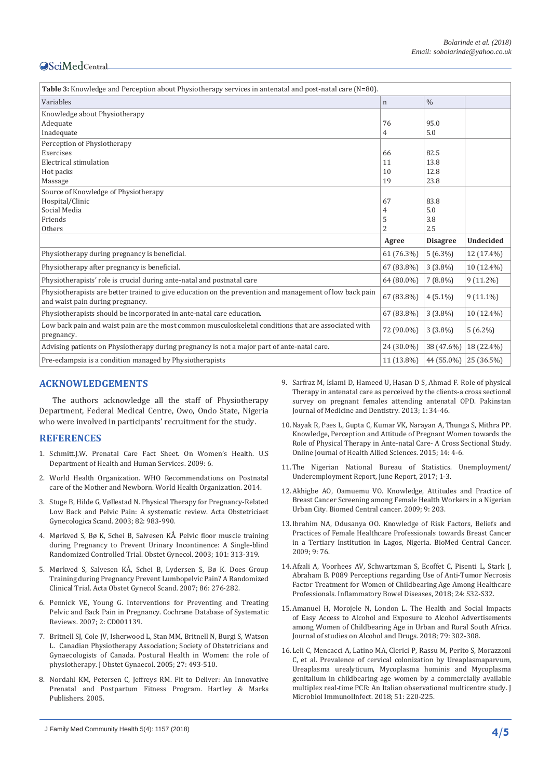### **OSciMedCentral**

| Table 3: Knowledge and Perception about Physiotherapy services in antenatal and post-natal care (N=80).                                     |              |                         |                  |  |  |
|---------------------------------------------------------------------------------------------------------------------------------------------|--------------|-------------------------|------------------|--|--|
| Variables                                                                                                                                   | $\mathbf n$  | $\frac{0}{0}$           |                  |  |  |
| Knowledge about Physiotherapy                                                                                                               |              |                         |                  |  |  |
| Adequate                                                                                                                                    | 76           | 95.0                    |                  |  |  |
| Inadequate                                                                                                                                  | 4            | 5.0                     |                  |  |  |
| Perception of Physiotherapy                                                                                                                 |              |                         |                  |  |  |
| Exercises                                                                                                                                   | 66           | 82.5                    |                  |  |  |
| Electrical stimulation                                                                                                                      | 11           | 13.8                    |                  |  |  |
| Hot packs                                                                                                                                   | 10           | 12.8                    |                  |  |  |
| Massage                                                                                                                                     | 19           | 23.8                    |                  |  |  |
| Source of Knowledge of Physiotherapy                                                                                                        |              |                         |                  |  |  |
| Hospital/Clinic                                                                                                                             | 67           | 83.8                    |                  |  |  |
| Social Media                                                                                                                                | 4            | 5.0                     |                  |  |  |
| Friends                                                                                                                                     | 5            | 3.8                     |                  |  |  |
| Others                                                                                                                                      | 2            | 2.5                     |                  |  |  |
|                                                                                                                                             | Agree        | <b>Disagree</b>         | <b>Undecided</b> |  |  |
| Physiotherapy during pregnancy is beneficial.                                                                                               | 61 (76.3%)   | $5(6.3\%)$              | 12 (17.4%)       |  |  |
| Physiotherapy after pregnancy is beneficial.                                                                                                | 67 (83.8%)   | $3(3.8\%)$              | 10 (12.4%)       |  |  |
| Physiotherapists' role is crucial during ante-natal and postnatal care                                                                      | 64 (80.0%)   | $7(8.8\%)$              | $9(11.2\%)$      |  |  |
| Physiotherapists are better trained to give education on the prevention and management of low back pain<br>and waist pain during pregnancy. | 67 (83.8%)   | $4(5.1\%)$              | $9(11.1\%)$      |  |  |
| Physiotherapists should be incorporated in ante-natal care education.                                                                       | 67 (83.8%)   | $3(3.8\%)$              | 10 (12.4%)       |  |  |
| Low back pain and waist pain are the most common musculoskeletal conditions that are associated with<br>pregnancy.                          | 72 (90.0%)   | $3(3.8\%)$              | $5(6.2\%)$       |  |  |
| Advising patients on Physiotherapy during pregnancy is not a major part of ante-natal care.                                                 | 24 (30.0%)   | 38 (47.6%)              | 18 (22.4%)       |  |  |
| Pre-eclampsia is a condition managed by Physiotherapists                                                                                    | $11(13.8\%)$ | 44 (55.0%)   25 (36.5%) |                  |  |  |

#### **ACKNOWLEDGEMENTS**

The authors acknowledge all the staff of Physiotherapy Department, Federal Medical Centre, Owo, Ondo State, Nigeria who were involved in participants' recruitment for the study.

#### **REFERENCES**

- 1. Schmitt.J.W. Prenatal Care Fact Sheet. On Women's Health. U.S Department of Health and Human Services. 2009: 6.
- 2. [World Health Organization. WHO Recommendations on Postnatal](http://www.who.int/gho/publications/world_health_statistics/2014/en/)  care of the Mother [and Newborn. World Health Organization. 2014.](http://www.who.int/gho/publications/world_health_statistics/2014/en/)
- 3. [Stuge B, Hilde G, Vøllestad N. Physical Therapy for Pregnancy-Related](https://www.ncbi.nlm.nih.gov/pubmed/14616270)  Low Back [and Pelvic Pain: A systematic review. Acta Obstetriciaet](https://www.ncbi.nlm.nih.gov/pubmed/14616270)  [Gynecologica Scand. 2003; 82: 983-990.](https://www.ncbi.nlm.nih.gov/pubmed/14616270)
- 4. [Mørkved S, Bø K, Schei B, Salvesen KÅ](https://www.ncbi.nlm.nih.gov/pubmed/12576255). Pelvic floor muscle training [during Pregnancy to Prevent Urinary Incontinence: A Single-blind](https://www.ncbi.nlm.nih.gov/pubmed/12576255)  Randomized Controlled [Trial. Obstet Gynecol. 2003; 101: 313-319.](https://www.ncbi.nlm.nih.gov/pubmed/12576255)
- 5. [Mørkved S, Salvesen KÅ, Schei B, Lydersen S, Bø K. Does Group](https://www.ncbi.nlm.nih.gov/pubmed/17364300)  [Training during Pregnancy Prevent Lumbopelvic Pain? A Randomized](https://www.ncbi.nlm.nih.gov/pubmed/17364300)  [Clinical Trial. Acta Obstet Gynecol Scand. 2007; 86: 276-282.](https://www.ncbi.nlm.nih.gov/pubmed/17364300)
- 6. [Pennick VE, Young G. Interventions for Preventing and Treating](http://www.meridiens.org/bibliotheque/PDF-2007-2/PENNICK-145475.pdf)  [Pelvic and Back Pain in Pregnancy. Cochrane Database of Systematic](http://www.meridiens.org/bibliotheque/PDF-2007-2/PENNICK-145475.pdf)  [Reviews. 2007; 2: CD001139.](http://www.meridiens.org/bibliotheque/PDF-2007-2/PENNICK-145475.pdf)
- 7. [Britnell SJ, Cole JV, Isherwood L, Stan MM, Britnell N, Burgi S, Watson](https://www.ncbi.nlm.nih.gov/pubmed/16100646)  [L. Canadian Physiotherapy Association; Society of Obstetricians and](https://www.ncbi.nlm.nih.gov/pubmed/16100646)  [Gynaecologists of Canada. Postural Health in Women: the role of](https://www.ncbi.nlm.nih.gov/pubmed/16100646)  [physiotherapy. J Obstet Gynaecol. 2005; 27: 493-510.](https://www.ncbi.nlm.nih.gov/pubmed/16100646)
- 8. [Nordahl KM, Petersen C, Jeffreys RM. Fit to Deliver: An Innovative](https://www.amazon.com/Fit-Deliver-Innovative-Postpartum-Professionals/dp/088179208X)  [Prenatal and Postpartum Fitness Program. Hartley & Marks](https://www.amazon.com/Fit-Deliver-Innovative-Postpartum-Professionals/dp/088179208X)  [Publishers. 2005.](https://www.amazon.com/Fit-Deliver-Innovative-Postpartum-Professionals/dp/088179208X)
- 9. [Sarfraz M, Islami D, Hameed U, Hasan D S, Ahmad F. Role of physical](https://www.researchgate.net/publication/236589585_Role_of_Physical_Therapy_in_antenatal_care_as_perceived_by_the_clients_-a_cross_sectional_survey_on_pregnant_females_attending_antenatal_OPD)  [Therapy in antenatal care as perceived by the clients-a cross sectional](https://www.researchgate.net/publication/236589585_Role_of_Physical_Therapy_in_antenatal_care_as_perceived_by_the_clients_-a_cross_sectional_survey_on_pregnant_females_attending_antenatal_OPD)  [survey on pregnant females attending antenatal OPD. Pakinstan](https://www.researchgate.net/publication/236589585_Role_of_Physical_Therapy_in_antenatal_care_as_perceived_by_the_clients_-a_cross_sectional_survey_on_pregnant_females_attending_antenatal_OPD)  [Journal of Medicine and Dentistry. 2013; 1: 34-46.](https://www.researchgate.net/publication/236589585_Role_of_Physical_Therapy_in_antenatal_care_as_perceived_by_the_clients_-a_cross_sectional_survey_on_pregnant_females_attending_antenatal_OPD)
- 10.[Nayak R, Paes L, Gupta C, Kumar VK, Narayan A, Thunga S, Mithra PP.](https://www.researchgate.net/publication/298635494_Knowledge_Perception_and_Attitude_of_Pregnant_Women_Towards_the_Role_of_Physical_Therapy_in_Antenatal_Care_-_A_Cross_Sectional_Study) [Knowledge, Perception and Attitude of Pregnant Women towards the](https://www.researchgate.net/publication/298635494_Knowledge_Perception_and_Attitude_of_Pregnant_Women_Towards_the_Role_of_Physical_Therapy_in_Antenatal_Care_-_A_Cross_Sectional_Study)  Role of [Physical Therapy in Ante-natal Care- A Cross Sectional Study.](https://www.researchgate.net/publication/298635494_Knowledge_Perception_and_Attitude_of_Pregnant_Women_Towards_the_Role_of_Physical_Therapy_in_Antenatal_Care_-_A_Cross_Sectional_Study)  Online Journal of [Health Allied Sciences. 2015; 14: 4-6.](https://www.researchgate.net/publication/298635494_Knowledge_Perception_and_Attitude_of_Pregnant_Women_Towards_the_Role_of_Physical_Therapy_in_Antenatal_Care_-_A_Cross_Sectional_Study)
- 11.The Nigerian National Bureau of Statistics. Unemployment/ Underemployment Report, June Report, 2017; 1-3.
- 12.[Akhigbe AO, Oamuemu VO. Knowledge, Attitudes and Practice of](https://www.ncbi.nlm.nih.gov/pubmed/19555506)  [Breast Cancer Screening among Female Health Workers in a Nigerian](https://www.ncbi.nlm.nih.gov/pubmed/19555506)  [Urban City. Biomed Central cancer. 2009; 9: 203.](https://www.ncbi.nlm.nih.gov/pubmed/19555506)
- 13.[Ibrahim NA, Odusanya OO. Knowledge of Risk Factors, Beliefs and](https://www.ncbi.nlm.nih.gov/pubmed/19261179)  Practices of [Female Healthcare Professionals towards Breast Cancer](https://www.ncbi.nlm.nih.gov/pubmed/19261179)  [in a Tertiary Institution in Lagos, Nigeria. BioMed Central Cancer.](https://www.ncbi.nlm.nih.gov/pubmed/19261179)  [2009; 9: 76.](https://www.ncbi.nlm.nih.gov/pubmed/19261179)
- 14.[Afzali A, Voorhees AV, Schwartzman S, Ecoffet C, Pisenti L, Stark J,](https://academic.oup.com/ibdjournal/article-abstract/24/suppl_1/S32/4816544?redirectedFrom=fulltext)  [Abraham B. P089 Perceptions regarding Use of Anti-Tumor Necrosis](https://academic.oup.com/ibdjournal/article-abstract/24/suppl_1/S32/4816544?redirectedFrom=fulltext)  Factor Treatment for [Women of Childbearing Age Among Healthcare](https://academic.oup.com/ibdjournal/article-abstract/24/suppl_1/S32/4816544?redirectedFrom=fulltext)  Professionals. [Inflammatory Bowel](https://academic.oup.com/ibdjournal/article-abstract/24/suppl_1/S32/4816544?redirectedFrom=fulltext) Diseases, 2018; 24: S32-S32.
- 15.[Amanuel H, Morojele N, London L. The Health and Social Impacts](https://www.jsad.com/doi/10.15288/jsad.2018.79.302)  of Easy Access [to Alcohol and Exposure to Alcohol Advertisements](https://www.jsad.com/doi/10.15288/jsad.2018.79.302)  [among Women of Childbearing Age in Urban and Rural South Africa.](https://www.jsad.com/doi/10.15288/jsad.2018.79.302)  [Journal of studies on Alcohol and Drugs. 2018; 79: 302-308.](https://www.jsad.com/doi/10.15288/jsad.2018.79.302)
- 16.[Leli C, Mencacci A, Latino MA, Clerici P, Rassu M, Perito S, Morazzoni](https://www.ncbi.nlm.nih.gov/pubmed/28711440)  C, et al. [Prevalence of cervical colonization by Ureaplasmaparvum,](https://www.ncbi.nlm.nih.gov/pubmed/28711440)  Ureaplasma [urealyticum, Mycoplasma hominis and Mycoplasma](https://www.ncbi.nlm.nih.gov/pubmed/28711440)  [genitalium in childbearing age women by a commercially available](https://www.ncbi.nlm.nih.gov/pubmed/28711440)  [multiplex real-time PCR: An Italian observational multicentre study.](https://www.ncbi.nlm.nih.gov/pubmed/28711440) J [Microbiol ImmunolInfect. 2018;](https://www.ncbi.nlm.nih.gov/pubmed/28711440) 51: 220-225.

J Family Med Community Health 5(4): 1157 (2018) **4/5**